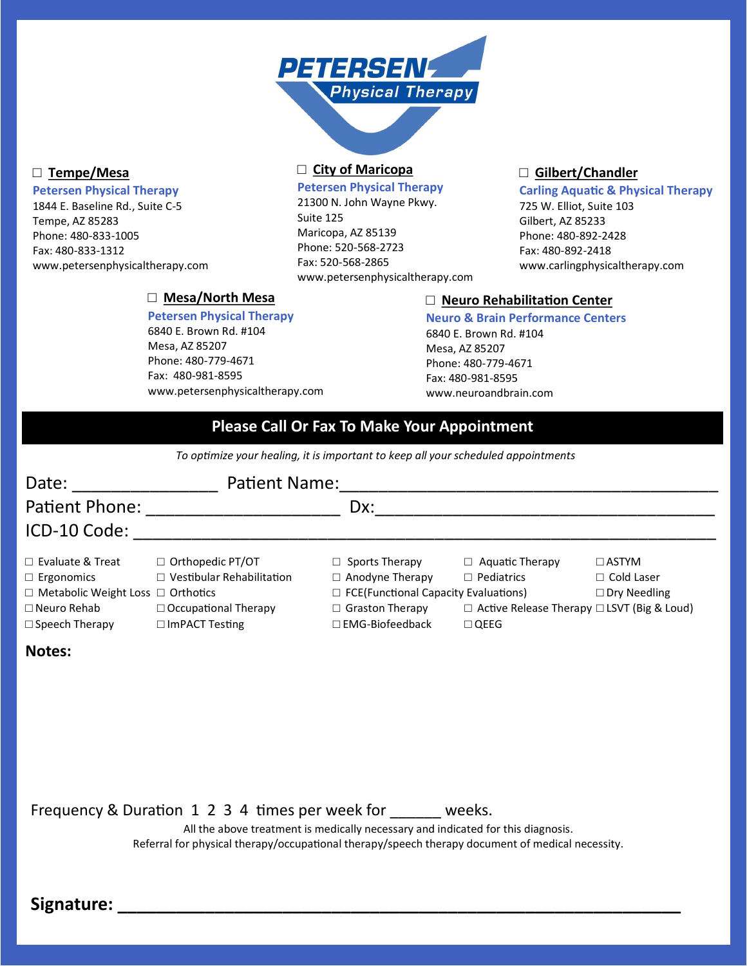

### **□ Tempe/Mesa**

### **Petersen Physical Therapy**

1844 E. Baseline Rd., Suite C-5 Tempe, AZ 85283 Phone: 480-833-1005 Fax: 480-833-1312 www.petersenphysicaltherapy.com

> **□ Mesa/North Mesa Petersen Physical Therapy** 6840 E. Brown Rd. #104

www.petersenphysicaltherapy.com

Mesa, AZ 85207 Phone: 480-779-4671 Fax: 480-981-8595

# **□ City of Maricopa**

**Petersen Physical Therapy**

21300 N. John Wayne Pkwy. Suite 125 Maricopa, AZ 85139 Phone: 520-568-2723 Fax: 520-568-2865 www.petersenphysicaltherapy.com

## **□ Gilbert/Chandler**

#### **Carling Aquatic & Physical Therapy**

725 W. Elliot, Suite 103 Gilbert, AZ 85233 Phone: 480-892-2428 Fax: 480-892-2418 www.carlingphysicaltherapy.com

## **□ Neuro Rehabilitation Center**

**Neuro & Brain Performance Centers** 6840 E. Brown Rd. #104 Mesa, AZ 85207 Phone: 480-779-4671 Fax: 480-981-8595 www.neuroandbrain.com

# **Please Call Or Fax To Make Your Appointment**

*To optimize your healing, it is important to keep all your scheduled appointments*

| Date:                                         | Patient Name:                    |                                             |                                                        |                     |
|-----------------------------------------------|----------------------------------|---------------------------------------------|--------------------------------------------------------|---------------------|
| Patient Phone:                                |                                  | Dx:                                         |                                                        |                     |
| ICD-10 Code:                                  |                                  |                                             |                                                        |                     |
| $\Box$ Evaluate & Treat                       | □ Orthopedic PT/OT               | $\Box$ Sports Therapy                       | $\Box$ Aquatic Therapy                                 | $\Box$ ASTYM        |
| $\Box$ Ergonomics                             | $\Box$ Vestibular Rehabilitation | $\Box$ Anodyne Therapy                      | $\Box$ Pediatrics                                      | $\Box$ Cold Laser   |
| $\Box$ Metabolic Weight Loss $\Box$ Orthotics |                                  | $\Box$ FCE(Functional Capacity Evaluations) |                                                        | $\Box$ Dry Needling |
| $\Box$ Neuro Rehab                            | $\Box$ Occupational Therapy      | $\Box$ Graston Therapy                      | $\Box$ Active Release Therapy $\Box$ LSVT (Big & Loud) |                     |
| $\Box$ Speech Therapy                         | $\Box$ ImPACT Testing            | $\square$ EMG-Biofeedback                   | $\Box$ $\Omega$ EEG                                    |                     |

# **Notes:**

Frequency & Duration 1 2 3 4 times per week for \_\_\_\_\_\_ weeks.

All the above treatment is medically necessary and indicated for this diagnosis. Referral for physical therapy/occupational therapy/speech therapy document of medical necessity.

Signature: